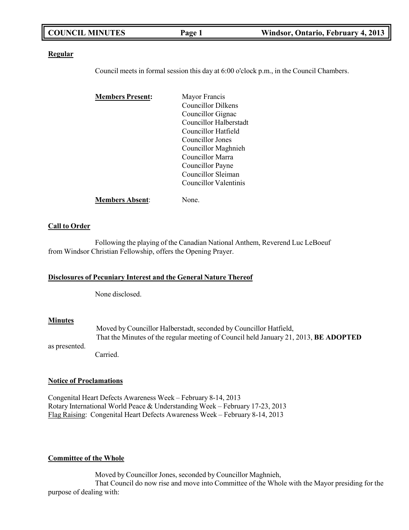|  | <b>COUNCIL MINUTES</b> | Page 1 | Windsor, Ontario, February 4, 2013 |
|--|------------------------|--------|------------------------------------|
|--|------------------------|--------|------------------------------------|

### **Regular**

Council meets in formal session this day at 6:00 o'clock p.m., in the Council Chambers.

| <b>Members Present:</b> | Mayor Francis          |  |
|-------------------------|------------------------|--|
|                         | Councillor Dilkens     |  |
|                         | Councillor Gignac      |  |
|                         | Councillor Halberstadt |  |
|                         | Councillor Hatfield    |  |
|                         | Councillor Jones       |  |
|                         | Councillor Maghnieh    |  |
|                         | Councillor Marra       |  |
|                         | Councillor Payne       |  |
|                         | Councillor Sleiman     |  |
|                         | Councillor Valentinis  |  |
| <b>Members Absent:</b>  | None.                  |  |

### **Call to Order**

Following the playing of the Canadian National Anthem, Reverend Luc LeBoeuf from Windsor Christian Fellowship, offers the Opening Prayer.

### **Disclosures of Pecuniary Interest and the General Nature Thereof**

None disclosed.

### **Minutes**

as presented. Moved by Councillor Halberstadt, seconded by Councillor Hatfield, That the Minutes of the regular meeting of Council held January 21, 2013, **BE ADOPTED**

Carried.

### **Notice of Proclamations**

Congenital Heart Defects Awareness Week – February 8-14, 2013 Rotary International World Peace & Understanding Week – February 17-23, 2013 Flag Raising: Congenital Heart Defects Awareness Week – February 8-14, 2013

### **Committee of the Whole**

Moved by Councillor Jones, seconded by Councillor Maghnieh, That Council do now rise and move into Committee of the Whole with the Mayor presiding for the purpose of dealing with: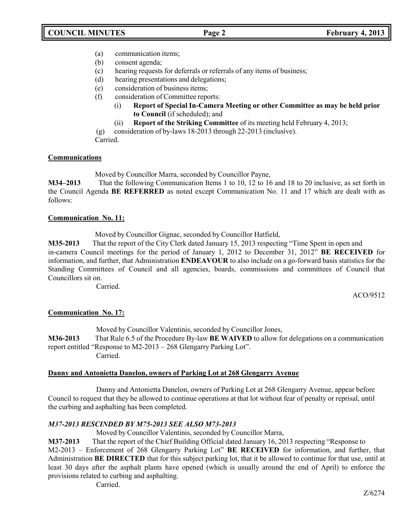- (a) communication items;
- (b) consent agenda;
- (c) hearing requests for deferrals or referrals of any items of business;
- (d) hearing presentations and delegations;
- (e) consideration of business items;
- (f) consideration of Committee reports:
	- (i) **Report of Special In-Camera Meeting or other Committee as may be held prior to Council** (if scheduled); and
	- (ii) **Report of the Striking Committee** of its meeting held February 4, 2013;
- (g) consideration of by-laws 18-2013 through 22-2013 (inclusive).

Carried.

### **Communications**

Moved by Councillor Marra, seconded by Councillor Payne,

**M34–2013** That the following Communication Items 1 to 10, 12 to 16 and 18 to 20 inclusive, as set forth in the Council Agenda **BE REFERRED** as noted except Communication No. 11 and 17 which are dealt with as follows:

### **Communication No. 11:**

Moved by Councillor Gignac, seconded by Councillor Hatfield,

**M35-2013** That the report of the City Clerk dated January 15, 2013 respecting "Time Spent in open and in-camera Council meetings for the period of January 1, 2012 to December 31, 2012" **BE RECEIVED** for information, and further, that Administration **ENDEAVOUR** to also include on a go-forward basis statistics for the Standing Committees of Council and all agencies, boards, commissions and committees of Council that Councillors sit on.

Carried.

ACO/9512

## **Communication No. 17:**

Moved by Councillor Valentinis, seconded by Councillor Jones, **M36-2013** That Rule 6.5 of the Procedure By-law **BE WAIVED** to allow for delegations on a communication report entitled "Response to M2-2013 – 268 Glengarry Parking Lot". Carried.

## **Danny and Antonietta Danelon, owners of Parking Lot at 268 Glengarry Avenue**

Danny and Antonietta Danelon, owners of Parking Lot at 268 Glengarry Avenue, appear before Council to request that they be allowed to continue operations at that lot without fear of penalty or reprisal, until the curbing and asphalting has been completed.

## *M37-2013 RESCINDED BY M75-2013 SEE ALSO M73-2013*

Moved by Councillor Valentinis, seconded by Councillor Marra,

**M37-2013** That the report of the Chief Building Official dated January 16, 2013 respecting "Response to

M2-2013 – Enforcement of 268 Glengarry Parking Lot" **BE RECEIVED** for information, and further, that Administration **BE DIRECTED** that for this subject parking lot, that it be allowed to continue for that use, until at least 30 days after the asphalt plants have opened (which is usually around the end of April) to enforce the provisions related to curbing and asphalting.

Carried.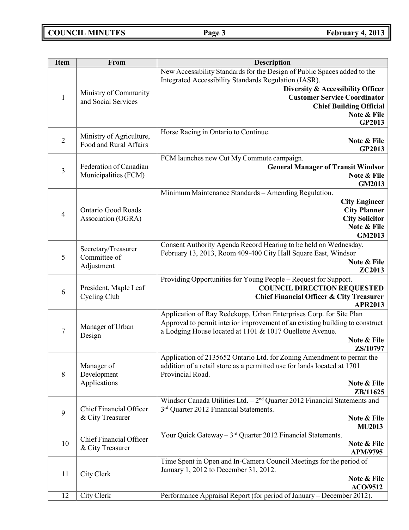| <b>Item</b>    | From                                | Description                                                                  |
|----------------|-------------------------------------|------------------------------------------------------------------------------|
|                |                                     | New Accessibility Standards for the Design of Public Spaces added to the     |
|                |                                     | Integrated Accessibility Standards Regulation (IASR).                        |
|                | Ministry of Community               | Diversity & Accessibility Officer                                            |
| $\mathbf{1}$   | and Social Services                 | <b>Customer Service Coordinator</b>                                          |
|                |                                     | <b>Chief Building Official</b>                                               |
|                |                                     | Note & File<br><b>GP2013</b>                                                 |
|                |                                     | Horse Racing in Ontario to Continue.                                         |
| $\overline{2}$ | Ministry of Agriculture,            | Note & File                                                                  |
|                | Food and Rural Affairs              | GP2013                                                                       |
|                |                                     | FCM launches new Cut My Commute campaign.                                    |
| $\overline{3}$ | Federation of Canadian              | <b>General Manager of Transit Windsor</b>                                    |
|                | Municipalities (FCM)                | Note & File                                                                  |
|                |                                     | <b>GM2013</b>                                                                |
|                |                                     | Minimum Maintenance Standards - Amending Regulation.                         |
|                | <b>Ontario Good Roads</b>           | <b>City Engineer</b>                                                         |
| $\overline{4}$ |                                     | <b>City Planner</b><br><b>City Solicitor</b>                                 |
|                | Association (OGRA)                  | Note & File                                                                  |
|                |                                     | GM2013                                                                       |
|                |                                     | Consent Authority Agenda Record Hearing to be held on Wednesday,             |
| 5              | Secretary/Treasurer<br>Committee of | February 13, 2013, Room 409-400 City Hall Square East, Windsor               |
|                | Adjustment                          | Note & File                                                                  |
|                |                                     | ZC2013                                                                       |
|                |                                     | Providing Opportunities for Young People – Request for Support.              |
| 6              | President, Maple Leaf               | <b>COUNCIL DIRECTION REQUESTED</b>                                           |
|                | Cycling Club                        | <b>Chief Financial Officer &amp; City Treasurer</b><br><b>APR2013</b>        |
|                |                                     | Application of Ray Redekopp, Urban Enterprises Corp. for Site Plan           |
|                |                                     | Approval to permit interior improvement of an existing building to construct |
| $\overline{7}$ | Manager of Urban                    | a Lodging House located at 1101 & 1017 Ouellette Avenue.                     |
|                | Design                              | Note & File                                                                  |
|                |                                     | ZS/10797                                                                     |
|                |                                     | Application of 2135652 Ontario Ltd. for Zoning Amendment to permit the       |
|                | Manager of                          | addition of a retail store as a permitted use for lands located at 1701      |
| 8              | Development                         | Provincial Road.                                                             |
|                | Applications                        | Note & File<br>ZB/11625                                                      |
|                |                                     | Windsor Canada Utilities Ltd. $-2nd$ Quarter 2012 Financial Statements and   |
|                | Chief Financial Officer             | 3 <sup>rd</sup> Quarter 2012 Financial Statements.                           |
| 9              | & City Treasurer                    | Note & File                                                                  |
|                |                                     | MU2013                                                                       |
|                | Chief Financial Officer             | Your Quick Gateway – $3^{rd}$ Quarter 2012 Financial Statements.             |
| 10             | & City Treasurer                    | Note & File                                                                  |
|                |                                     | APM/9795                                                                     |
|                |                                     | Time Spent in Open and In-Camera Council Meetings for the period of          |
| 11             | City Clerk                          | January 1, 2012 to December 31, 2012.<br>Note & File                         |
|                |                                     | <b>ACO/9512</b>                                                              |
| 12             | City Clerk                          | Performance Appraisal Report (for period of January – December 2012).        |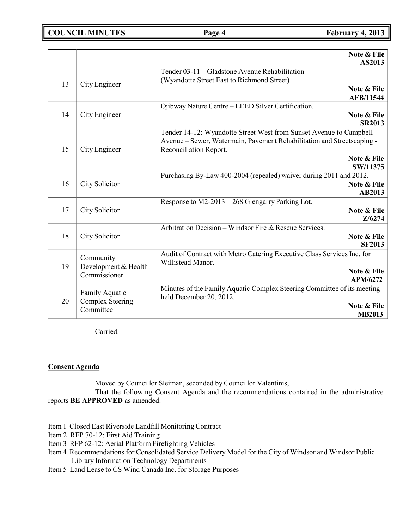**COUNCIL MINUTES Page 4 February 4, 2013**

|    |                                                        | Note & File<br>AS2013                                                                                                                                                  |
|----|--------------------------------------------------------|------------------------------------------------------------------------------------------------------------------------------------------------------------------------|
| 13 | City Engineer                                          | Tender 03-11 – Gladstone Avenue Rehabilitation<br>(Wyandotte Street East to Richmond Street)                                                                           |
|    |                                                        | <b>Note &amp; File</b><br>AFB/11544                                                                                                                                    |
| 14 | City Engineer                                          | Ojibway Nature Centre - LEED Silver Certification.<br>Note & File<br><b>SR2013</b>                                                                                     |
| 15 | City Engineer                                          | Tender 14-12: Wyandotte Street West from Sunset Avenue to Campbell<br>Avenue – Sewer, Watermain, Pavement Rehabilitation and Streetscaping -<br>Reconciliation Report. |
|    |                                                        | Note & File<br>SW/11375                                                                                                                                                |
| 16 | City Solicitor                                         | Purchasing By-Law 400-2004 (repealed) waiver during 2011 and 2012.<br>Note & File<br>AB2013                                                                            |
| 17 | City Solicitor                                         | Response to M2-2013 - 268 Glengarry Parking Lot.<br>Note & File<br>Z/6274                                                                                              |
| 18 | City Solicitor                                         | Arbitration Decision – Windsor Fire & Rescue Services.<br>Note & File<br><b>SF2013</b>                                                                                 |
| 19 | Community<br>Development & Health<br>Commissioner      | Audit of Contract with Metro Catering Executive Class Services Inc. for<br>Willistead Manor.<br>Note & File                                                            |
|    |                                                        | <b>APM/6272</b><br>Minutes of the Family Aquatic Complex Steering Committee of its meeting                                                                             |
| 20 | Family Aquatic<br><b>Complex Steering</b><br>Committee | held December 20, 2012.<br>Note & File<br><b>MB2013</b>                                                                                                                |

Carried.

### **Consent Agenda**

Moved by Councillor Sleiman, seconded by Councillor Valentinis,

That the following Consent Agenda and the recommendations contained in the administrative reports **BE APPROVED** as amended:

- Item 1 Closed East Riverside Landfill Monitoring Contract
- Item 2 RFP 70-12: First Aid Training
- Item 3 RFP 62-12: Aerial Platform Firefighting Vehicles
- Item 4 Recommendations for Consolidated Service Delivery Model for the City of Windsor and Windsor Public Library Information Technology Departments
- Item 5 Land Lease to CS Wind Canada Inc. for Storage Purposes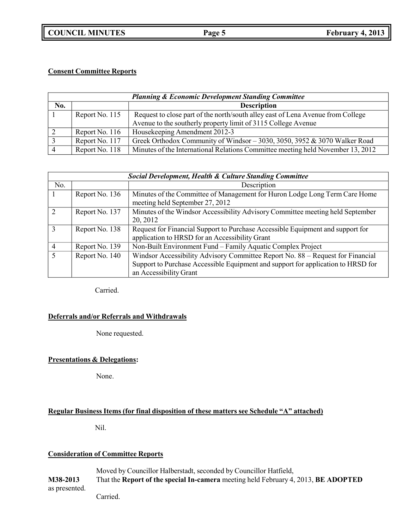**COUNCIL MINUTES Page 5 February 4, 2013**

## **Consent Committee Reports**

| <b>Planning &amp; Economic Development Standing Committee</b> |                |                                                                                                                                                  |  |
|---------------------------------------------------------------|----------------|--------------------------------------------------------------------------------------------------------------------------------------------------|--|
| No.                                                           |                | <b>Description</b>                                                                                                                               |  |
|                                                               | Report No. 115 | Request to close part of the north/south alley east of Lena Avenue from College<br>Avenue to the southerly property limit of 3115 College Avenue |  |
|                                                               | Report No. 116 | Housekeeping Amendment 2012-3                                                                                                                    |  |
|                                                               | Report No. 117 | Greek Orthodox Community of Windsor - 3030, 3050, 3952 & 3070 Walker Road                                                                        |  |
|                                                               | Report No. 118 | Minutes of the International Relations Committee meeting held November 13, 2012                                                                  |  |

| <b>Social Development, Health &amp; Culture Standing Committee</b> |                |                                                                                                                                                                                              |
|--------------------------------------------------------------------|----------------|----------------------------------------------------------------------------------------------------------------------------------------------------------------------------------------------|
| No.                                                                |                | Description                                                                                                                                                                                  |
|                                                                    | Report No. 136 | Minutes of the Committee of Management for Huron Lodge Long Term Care Home<br>meeting held September 27, 2012                                                                                |
| $\mathcal{D}_{\mathcal{L}}$                                        | Report No. 137 | Minutes of the Windsor Accessibility Advisory Committee meeting held September<br>20, 2012                                                                                                   |
| $\mathbf{3}$                                                       | Report No. 138 | Request for Financial Support to Purchase Accessible Equipment and support for<br>application to HRSD for an Accessibility Grant                                                             |
|                                                                    | Report No. 139 | Non-Built Environment Fund – Family Aquatic Complex Project                                                                                                                                  |
|                                                                    | Report No. 140 | Windsor Accessibility Advisory Committee Report No. 88 – Request for Financial<br>Support to Purchase Accessible Equipment and support for application to HRSD for<br>an Accessibility Grant |

Carried.

### **Deferrals and/or Referrals and Withdrawals**

None requested.

## **Presentations & Delegations:**

None.

## **Regular Business Items (for final disposition of these matters see Schedule "A" attached)**

Nil.

## **Consideration of Committee Reports**

Moved by Councillor Halberstadt, seconded by Councillor Hatfield, **M38-2013** That the **Report of the special In-camera** meeting held February 4, 2013, **BE ADOPTED** as presented.

Carried.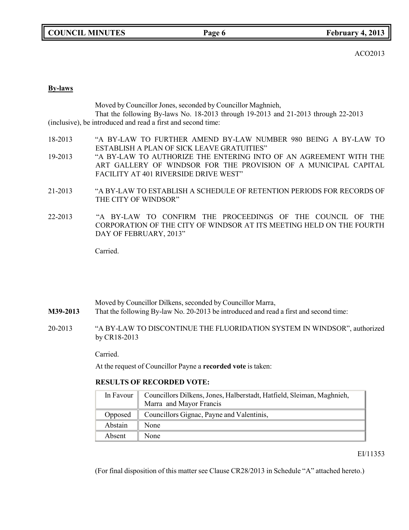ACO2013

### **By-laws**

|         | Moved by Councillor Jones, seconded by Councillor Maghnieh,                                 |
|---------|---------------------------------------------------------------------------------------------|
|         | That the following By-laws No. 18-2013 through 19-2013 and 21-2013 through 22-2013          |
|         | (inclusive), be introduced and read a first and second time:                                |
| 18-2013 | "A BY-LAW TO FURTHER AMEND BY-LAW NUMBER 980 BEING A BY-LAW TO                              |
|         | ESTABLISH A PLAN OF SICK LEAVE GRATUITIES"                                                  |
| 19-2013 | "A BY-LAW TO AUTHORIZE THE ENTERING INTO OF AN AGREEMENT WITH THE                           |
|         | ART GALLERY OF WINDSOR FOR THE PROVISION OF A MUNICIPAL CAPITAL                             |
|         | FACILITY AT 401 RIVERSIDE DRIVE WEST"                                                       |
| 21-2013 | "A BY-LAW TO ESTABLISH A SCHEDULE OF RETENTION PERIODS FOR RECORDS OF                       |
|         | THE CITY OF WINDSOR"                                                                        |
| 22-2013 | CONFIRM THE<br>PROCEEDINGS OF THE<br>COLINGIL<br>" $\Delta$ RV-LAW<br>$\cap$ F<br>$T\Omega$ |

22-2013 "A BY-LAW TO CONFIRM THE PROCEEDINGS OF THE COUNCIL OF THE CORPORATION OF THE CITY OF WINDSOR AT ITS MEETING HELD ON THE FOURTH DAY OF FEBRUARY, 2013"

Carried.

Moved by Councillor Dilkens, seconded by Councillor Marra, **M39-2013** That the following By-law No. 20-2013 be introduced and read a first and second time:

20-2013 "A BY-LAW TO DISCONTINUE THE FLUORIDATION SYSTEM IN WINDSOR", authorized by CR18-2013

Carried.

At the request of Councillor Payne a **recorded vote** is taken:

### **RESULTS OF RECORDED VOTE:**

|               | In Favour   Councillors Dilkens, Jones, Halberstadt, Hatfield, Sleiman, Maghnieh, |  |
|---------------|-----------------------------------------------------------------------------------|--|
|               | Marra and Mayor Francis                                                           |  |
| Opposed       | Councillors Gignac, Payne and Valentinis,                                         |  |
| Abstain       | None                                                                              |  |
| <b>Absent</b> | None                                                                              |  |

EI/11353

(For final disposition of this matter see Clause CR28/2013 in Schedule "A" attached hereto.)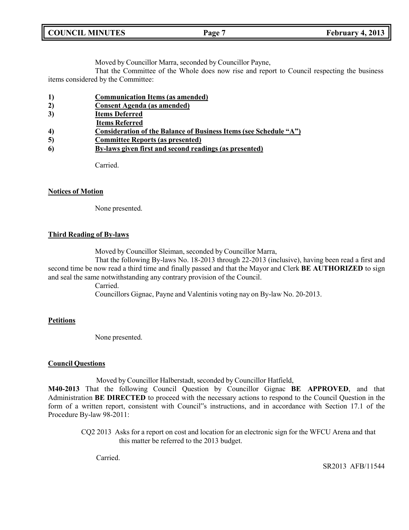Moved by Councillor Marra, seconded by Councillor Payne,

That the Committee of the Whole does now rise and report to Council respecting the business items considered by the Committee:

- **1) Communication Items (as amended)**
- **2) Consent Agenda (as amended)**
- **3) Items Deferred**
- **Items Referred**
- **4) Consideration of the Balance of Business Items (see Schedule "A")**
- **5) Committee Reports (as presented)**
- **6) By-laws given first and second readings (as presented)**

Carried.

### **Notices of Motion**

None presented.

### **Third Reading of By-laws**

Moved by Councillor Sleiman, seconded by Councillor Marra,

That the following By-laws No. 18-2013 through 22-2013 (inclusive), having been read a first and second time be now read a third time and finally passed and that the Mayor and Clerk **BE AUTHORIZED** to sign and seal the same notwithstanding any contrary provision of the Council.

Carried.

Councillors Gignac, Payne and Valentinis voting nay on By-law No. 20-2013.

### **Petitions**

None presented.

### **Council Questions**

Moved by Councillor Halberstadt, seconded by Councillor Hatfield,

**M40-2013** That the following Council Question by Councillor Gignac **BE APPROVED**, and that Administration **BE DIRECTED** to proceed with the necessary actions to respond to the Council Question in the form of a written report, consistent with Council"s instructions, and in accordance with Section 17.1 of the Procedure By-law 98-2011:

CQ2 2013 Asks for a report on cost and location for an electronic sign for the WFCU Arena and that this matter be referred to the 2013 budget.

Carried.

SR2013 AFB/11544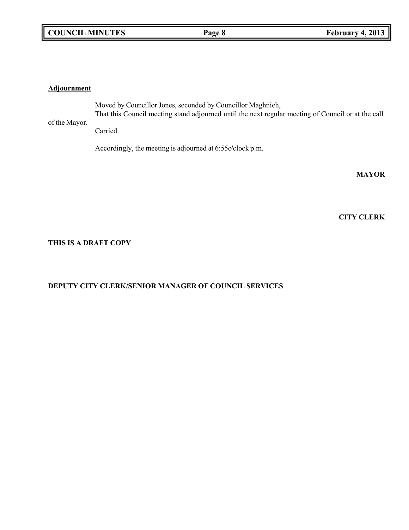### **Adjournment**

of the Mayor. Moved by Councillor Jones, seconded by Councillor Maghnieh, That this Council meeting stand adjourned until the next regular meeting of Council or at the call Carried.

Accordingly, the meeting is adjourned at 6:55o'clock p.m.

**MAYOR**

**CITY CLERK**

## **THIS IS A DRAFT COPY**

# **DEPUTY CITY CLERK/SENIOR MANAGER OF COUNCIL SERVICES**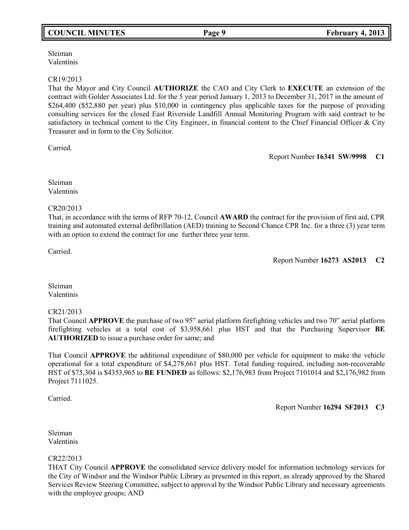# **COUNCIL MINUTES Page 9 February 4, 2013**

### Sleiman Valentinis

### CR19/2013

That the Mayor and City Council **AUTHORIZE** the CAO and City Clerk to **EXECUTE** an extension of the contract with Golder Associates Ltd. for the 5 year period January 1, 2013 to December 31, 2017 in the amount of \$264,400 (\$52,880 per year) plus \$10,000 in contingency plus applicable taxes for the purpose of providing consulting services for the closed East Riverside Landfill Annual Monitoring Program with said contract to be satisfactory in technical content to the City Engineer, in financial content to the Chief Financial Officer & City Treasurer and in form to the City Solicitor.

Carried.

Report Number **16341 SW/9998 C1**

Sleiman Valentinis

CR20/2013

That, in accordance with the terms of RFP 70-12, Council **AWARD** the contract for the provision of first aid, CPR training and automated external defibrillation (AED) training to Second Chance CPR Inc. for a three (3) year term with an option to extend the contract for one further three year term.

Carried.

Report Number **16273 AS2013 C2**

Sleiman Valentinis

### CR21/2013

That Council **APPROVE** the purchase of two 95" aerial platform firefighting vehicles and two 70" aerial platform firefighting vehicles at a total cost of \$3,958,661 plus HST and that the Purchasing Supervisor **BE AUTHORIZED** to issue a purchase order for same; and

That Council **APPROVE** the additional expenditure of \$80,000 per vehicle for equipment to make the vehicle operational for a total expenditure of \$4,278,661 plus HST. Total funding required, including non-recoverable HST of \$75,304 is \$4353,965 to **BE FUNDED** as follows: \$2,176,983 from Project 7101014 and \$2,176,982 from Project 7111025.

Carried.

Report Number **16294 SF2013 C3**

Sleiman Valentinis

### CR22/2013

THAT City Council **APPROVE** the consolidated service delivery model for information technology services for the City of Windsor and the Windsor Public Library as presented in this report, as already approved by the Shared Services Review Steering Committee, subject to approval by the Windsor Public Library and necessary agreements with the employee groups; AND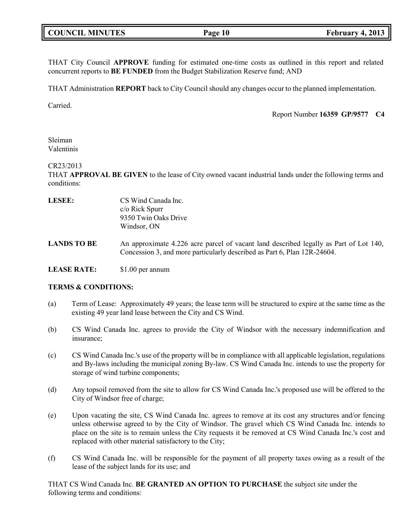| <b>COUNCIL MINUTES</b> |  |  |
|------------------------|--|--|
|------------------------|--|--|

THAT City Council **APPROVE** funding for estimated one-time costs as outlined in this report and related concurrent reports to **BE FUNDED** from the Budget Stabilization Reserve fund; AND

THAT Administration **REPORT** back to City Council should any changes occur to the planned implementation.

Carried.

Report Number **16359 GP/9577 C4**

Sleiman Valentinis

CR23/2013

THAT **APPROVAL BE GIVEN** to the lease of City owned vacant industrial lands under the following terms and conditions:

| LESEE:             | CS Wind Canada Inc.<br>$c/\sigma$ Rick Spurr<br>9350 Twin Oaks Drive<br>Windsor, ON                                                                               |
|--------------------|-------------------------------------------------------------------------------------------------------------------------------------------------------------------|
| <b>LANDS TO BE</b> | An approximate 4.226 acre parcel of vacant land described legally as Part of Lot 140,<br>Concession 3, and more particularly described as Part 6, Plan 12R-24604. |
| <b>LEASE RATE:</b> | \$1.00 per annum                                                                                                                                                  |

### **TERMS & CONDITIONS:**

- (a) Term of Lease: Approximately 49 years; the lease term will be structured to expire at the same time as the existing 49 year land lease between the City and CS Wind.
- (b) CS Wind Canada Inc. agrees to provide the City of Windsor with the necessary indemnification and insurance;
- (c) CS Wind Canada Inc.'s use of the property will be in compliance with all applicable legislation, regulations and By-laws including the municipal zoning By-law. CS Wind Canada Inc. intends to use the property for storage of wind turbine components;
- (d) Any topsoil removed from the site to allow for CS Wind Canada Inc.'s proposed use will be offered to the City of Windsor free of charge;
- (e) Upon vacating the site, CS Wind Canada Inc. agrees to remove at its cost any structures and/or fencing unless otherwise agreed to by the City of Windsor. The gravel which CS Wind Canada Inc. intends to place on the site is to remain unless the City requests it be removed at CS Wind Canada Inc.'s cost and replaced with other material satisfactory to the City;
- (f) CS Wind Canada Inc. will be responsible for the payment of all property taxes owing as a result of the lease of the subject lands for its use; and

THAT CS Wind Canada Inc. **BE GRANTED AN OPTION TO PURCHASE** the subject site under the following terms and conditions: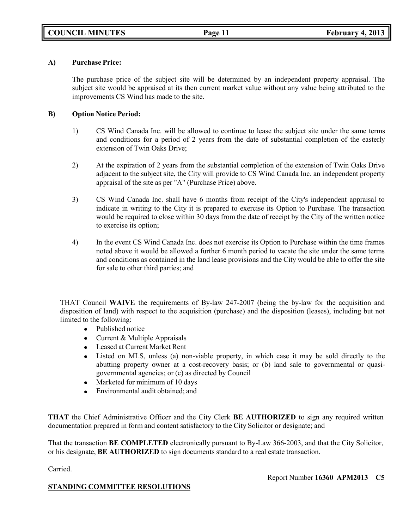### **A) Purchase Price:**

The purchase price of the subject site will be determined by an independent property appraisal. The subject site would be appraised at its then current market value without any value being attributed to the improvements CS Wind has made to the site.

### **B) Option Notice Period:**

- 1) CS Wind Canada Inc. will be allowed to continue to lease the subject site under the same terms and conditions for a period of 2 years from the date of substantial completion of the easterly extension of Twin Oaks Drive;
- 2) At the expiration of 2 years from the substantial completion of the extension of Twin Oaks Drive adjacent to the subject site, the City will provide to CS Wind Canada Inc. an independent property appraisal of the site as per "A" (Purchase Price) above.
- 3) CS Wind Canada Inc. shall have 6 months from receipt of the City's independent appraisal to indicate in writing to the City it is prepared to exercise its Option to Purchase. The transaction would be required to close within 30 days from the date of receipt by the City of the written notice to exercise its option;
- 4) In the event CS Wind Canada Inc. does not exercise its Option to Purchase within the time frames noted above it would be allowed a further 6 month period to vacate the site under the same terms and conditions as contained in the land lease provisions and the City would be able to offer the site for sale to other third parties; and

THAT Council **WAIVE** the requirements of By-law 247-2007 (being the by-law for the acquisition and disposition of land) with respect to the acquisition (purchase) and the disposition (leases), including but not limited to the following:

- Published notice
- Current & Multiple Appraisals
- Leased at Current Market Rent
- Listed on MLS, unless (a) non-viable property, in which case it may be sold directly to the abutting property owner at a cost-recovery basis; or (b) land sale to governmental or quasigovernmental agencies; or (c) as directed by Council
- Marketed for minimum of 10 days  $\bullet$
- $\bullet$ Environmental audit obtained; and

**THAT** the Chief Administrative Officer and the City Clerk **BE AUTHORIZED** to sign any required written documentation prepared in form and content satisfactory to the City Solicitor or designate; and

That the transaction **BE COMPLETED** electronically pursuant to By-Law 366-2003, and that the City Solicitor, or his designate, **BE AUTHORIZED** to sign documents standard to a real estate transaction.

Carried.

Report Number **16360 APM2013 C5**

## **STANDING COMMITTEE RESOLUTIONS**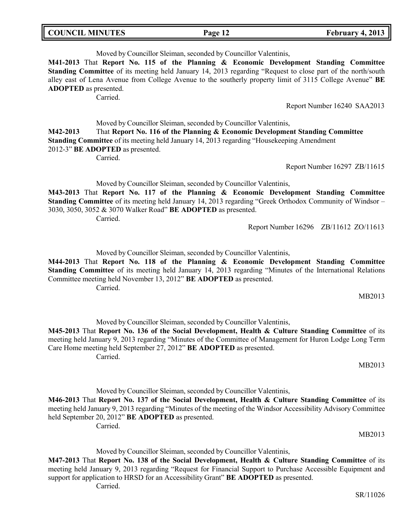**COUNCIL MINUTES Page 12 February 4, 2013**

Moved by Councillor Sleiman, seconded by Councillor Valentinis, **M41-2013** That **Report No. 115 of the Planning & Economic Development Standing Committee Standing Committee** of its meeting held January 14, 2013 regarding "Request to close part of the north/south alley east of Lena Avenue from College Avenue to the southerly property limit of 3115 College Avenue" **BE ADOPTED** as presented. Carried.

Report Number 16240 SAA2013

Moved by Councillor Sleiman, seconded by Councillor Valentinis, **M42-2013** That **Report No. 116 of the Planning & Economic Development Standing Committee Standing Committee** of its meeting held January 14, 2013 regarding "Housekeeping Amendment 2012-3" **BE ADOPTED** as presented.

Carried.

Report Number 16297 ZB/11615

Moved by Councillor Sleiman, seconded by Councillor Valentinis,

**M43-2013** That **Report No. 117 of the Planning & Economic Development Standing Committee Standing Committee** of its meeting held January 14, 2013 regarding "Greek Orthodox Community of Windsor – 3030, 3050, 3052 & 3070 Walker Road" **BE ADOPTED** as presented.

Carried.

Report Number 16296 ZB/11612 ZO/11613

Moved by Councillor Sleiman, seconded by Councillor Valentinis,

**M44-2013** That **Report No. 118 of the Planning & Economic Development Standing Committee Standing Committee** of its meeting held January 14, 2013 regarding "Minutes of the International Relations Committee meeting held November 13, 2012" **BE ADOPTED** as presented. Carried.

MB2013

MB2013

Moved by Councillor Sleiman, seconded by Councillor Valentinis,

**M45-2013** That **Report No. 136 of the Social Development, Health & Culture Standing Committee** of its meeting held January 9, 2013 regarding "Minutes of the Committee of Management for Huron Lodge Long Term Care Home meeting held September 27, 2012" **BE ADOPTED** as presented.

Carried.

Moved by Councillor Sleiman, seconded by Councillor Valentinis,

**M46-2013** That **Report No. 137 of the Social Development, Health & Culture Standing Committee** of its meeting held January 9, 2013 regarding "Minutes of the meeting of the Windsor Accessibility Advisory Committee held September 20, 2012" **BE ADOPTED** as presented. Carried.

MB2013

Moved by Councillor Sleiman, seconded by Councillor Valentinis,

**M47-2013** That **Report No. 138 of the Social Development, Health & Culture Standing Committee** of its meeting held January 9, 2013 regarding "Request for Financial Support to Purchase Accessible Equipment and support for application to HRSD for an Accessibility Grant" **BE ADOPTED** as presented.

Carried.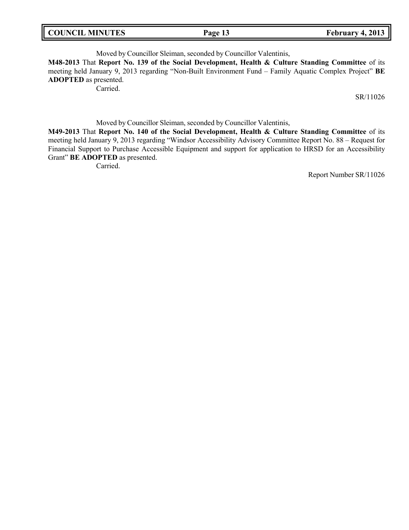$February$ <sup> $4$ </sup>, 2013

Moved by Councillor Sleiman, seconded by Councillor Valentinis, **M48-2013** That **Report No. 139 of the Social Development, Health & Culture Standing Committee** of its meeting held January 9, 2013 regarding "Non-Built Environment Fund – Family Aquatic Complex Project" **BE ADOPTED** as presented.

Carried.

SR/11026

Moved by Councillor Sleiman, seconded by Councillor Valentinis,

**M49-2013** That **Report No. 140 of the Social Development, Health & Culture Standing Committee** of its meeting held January 9, 2013 regarding "Windsor Accessibility Advisory Committee Report No. 88 – Request for Financial Support to Purchase Accessible Equipment and support for application to HRSD for an Accessibility Grant" **BE ADOPTED** as presented.

Carried.

Report Number SR/11026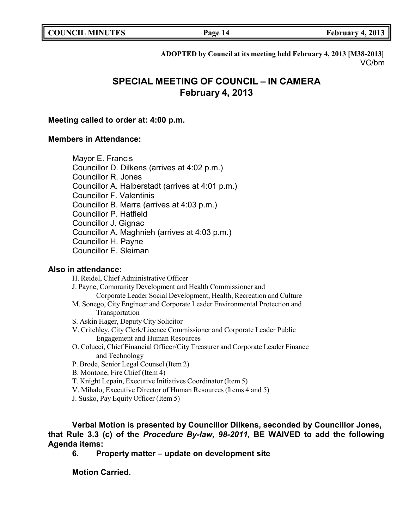| <b>COUNCIL MINUTES</b> |  |
|------------------------|--|
|------------------------|--|

**COUNCIL EXAMPLE 14 February 4,** 2013

**ADOPTED by Council at its meeting held February 4, 2013 [M38-2013]** VC/bm

# **SPECIAL MEETING OF COUNCIL – IN CAMERA February 4, 2013**

### **Meeting called to order at: 4:00 p.m.**

## **Members in Attendance:**

Mayor E. Francis

Councillor D. Dilkens (arrives at 4:02 p.m.)

Councillor R. Jones

Councillor A. Halberstadt (arrives at 4:01 p.m.)

Councillor F. Valentinis

Councillor B. Marra (arrives at 4:03 p.m.)

- Councillor P. Hatfield
- Councillor J. Gignac

Councillor A. Maghnieh (arrives at 4:03 p.m.)

Councillor H. Payne

Councillor E. Sleiman

## **Also in attendance:**

H. Reidel, Chief Administrative Officer J. Payne, Community Development and Health Commissioner and Corporate Leader Social Development, Health, Recreation and Culture M. Sonego, City Engineer and Corporate Leader Environmental Protection and Transportation S. Askin Hager, Deputy City Solicitor V. Critchley, City Clerk/Licence Commissioner and Corporate Leader Public Engagement and Human Resources O. Colucci, Chief Financial Officer/City Treasurer and Corporate Leader Finance and Technology

- P. Brode, Senior Legal Counsel (Item 2)
- B. Montone, Fire Chief (Item 4)
- T. Knight Lepain, Executive Initiatives Coordinator (Item 5)
- V. Mihalo, Executive Director of Human Resources (Items 4 and 5)
- J. Susko, Pay Equity Officer (Item 5)

**Verbal Motion is presented by Councillor Dilkens, seconded by Councillor Jones, that Rule 3.3 (c) of the** *Procedure By-law, 98-2011,* **BE WAIVED to add the following Agenda items:**

**6. Property matter – update on development site**

**Motion Carried.**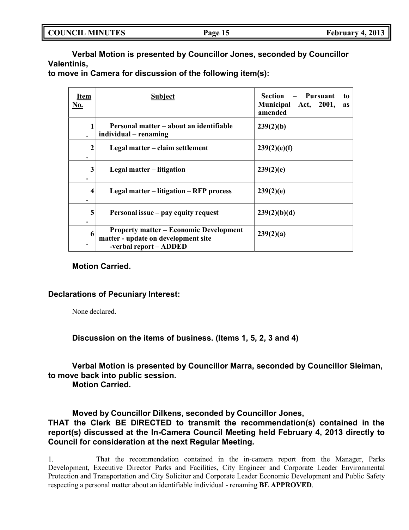|  | <b>COUNCIL MINUTES</b> |
|--|------------------------|
|--|------------------------|

**Verbal Motion is presented by Councillor Jones, seconded by Councillor Valentinis,**

**to move in Camera for discussion of the following item(s):**

| Item<br>No.       | <b>Subject</b>                                                                                                 | <b>Pursuant</b><br>Section<br>to<br>Act, 2001,<br><b>Municipal</b><br><b>as</b><br>amended |
|-------------------|----------------------------------------------------------------------------------------------------------------|--------------------------------------------------------------------------------------------|
|                   | Personal matter – about an identifiable<br>individual – renaming                                               | 239(2)(b)                                                                                  |
| $\mathbf{2}$<br>٠ | Legal matter – claim settlement                                                                                | 239(2)(e)(f)                                                                               |
| 3<br>٠            | Legal matter – litigation                                                                                      | 239(2)(e)                                                                                  |
| 4<br>٠            | Legal matter – litigation – RFP process                                                                        | 239(2)(e)                                                                                  |
| 5<br>٠            | Personal issue – pay equity request                                                                            | 239(2)(b)(d)                                                                               |
| 6                 | <b>Property matter – Economic Development</b><br>matter - update on development site<br>-verbal report - ADDED | 239(2)(a)                                                                                  |

## **Motion Carried.**

## **Declarations of Pecuniary Interest:**

None declared.

**Discussion on the items of business. (Items 1, 5, 2, 3 and 4)**

**Verbal Motion is presented by Councillor Marra, seconded by Councillor Sleiman, to move back into public session.**

**Motion Carried.**

**Moved by Councillor Dilkens, seconded by Councillor Jones,**

# **THAT the Clerk BE DIRECTED to transmit the recommendation(s) contained in the report(s) discussed at the In-Camera Council Meeting held February 4, 2013 directly to Council for consideration at the next Regular Meeting.**

1. That the recommendation contained in the in-camera report from the Manager, Parks Development, Executive Director Parks and Facilities, City Engineer and Corporate Leader Environmental Protection and Transportation and City Solicitor and Corporate Leader Economic Development and Public Safety respecting a personal matter about an identifiable individual - renaming **BE APPROVED**.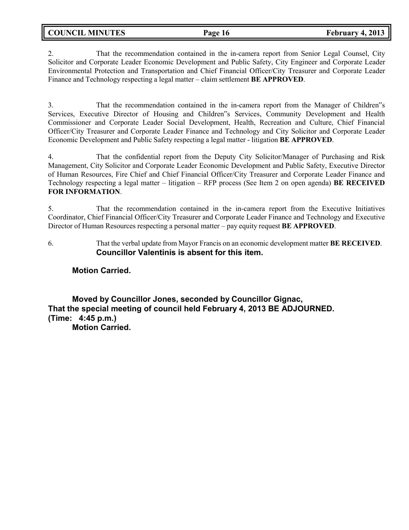**COUNCIL MINUTES Page 16 February 4, 2013**

2. That the recommendation contained in the in-camera report from Senior Legal Counsel, City Solicitor and Corporate Leader Economic Development and Public Safety, City Engineer and Corporate Leader Environmental Protection and Transportation and Chief Financial Officer/City Treasurer and Corporate Leader Finance and Technology respecting a legal matter – claim settlement **BE APPROVED**.

3. That the recommendation contained in the in-camera report from the Manager of Children"s Services, Executive Director of Housing and Children"s Services, Community Development and Health Commissioner and Corporate Leader Social Development, Health, Recreation and Culture, Chief Financial Officer/City Treasurer and Corporate Leader Finance and Technology and City Solicitor and Corporate Leader Economic Development and Public Safety respecting a legal matter - litigation **BE APPROVED**.

4. That the confidential report from the Deputy City Solicitor/Manager of Purchasing and Risk Management, City Solicitor and Corporate Leader Economic Development and Public Safety, Executive Director of Human Resources, Fire Chief and Chief Financial Officer/City Treasurer and Corporate Leader Finance and Technology respecting a legal matter – litigation – RFP process (See Item 2 on open agenda) **BE RECEIVED FOR INFORMATION**.

5. That the recommendation contained in the in-camera report from the Executive Initiatives Coordinator, Chief Financial Officer/City Treasurer and Corporate Leader Finance and Technology and Executive Director of Human Resources respecting a personal matter – pay equity request **BE APPROVED**.

6. That the verbal update from Mayor Francis on an economic development matter **BE RECEIVED**. **Councillor Valentinis is absent for this item.**

# **Motion Carried.**

**Moved by Councillor Jones, seconded by Councillor Gignac, That the special meeting of council held February 4, 2013 BE ADJOURNED. (Time: 4:45 p.m.)**

**Motion Carried.**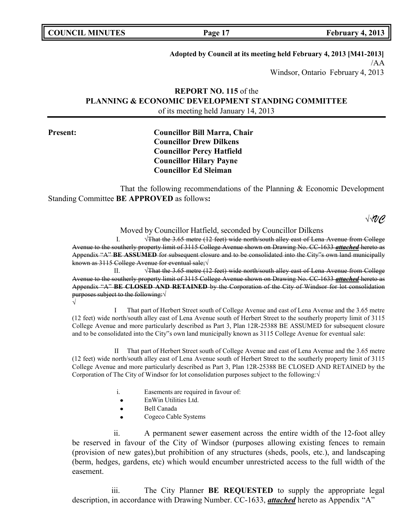| <b>COUNCIL MINUTES</b> |  |  |
|------------------------|--|--|
|------------------------|--|--|

### **Adopted by Council at its meeting held February 4, 2013 [M41-2013]**

/AA Windsor, Ontario February 4, 2013

# **REPORT NO. 115** of the **PLANNING & ECONOMIC DEVELOPMENT STANDING COMMITTEE** of its meeting held January 14, 2013

# **Present: Councillor Bill Marra, Chair Councillor Drew Dilkens Councillor Percy Hatfield Councillor Hilary Payne Councillor Ed Sleiman**

That the following recommendations of the Planning & Economic Development Standing Committee **BE APPROVED** as follows**:**

√√*VC*

Moved by Councillor Hatfield, seconded by Councillor Dilkens

I. √That the 3.65 metre (12 feet) wide north/south alley east of Lena Avenue from College Avenue to the southerly property limit of 3115 College Avenue shown on Drawing No. CC-1633 *attached* hereto as Appendix "A" **BE ASSUMED** for subsequent closure and to be consolidated into the City"s own land municipally known as 3115 College Avenue for eventual sale;√

II. √That the 3.65 metre (12 feet) wide north/south alley east of Lena Avenue from College Avenue to the southerly property limit of 3115 College Avenue shown on Drawing No. CC-1633 *attached* hereto as Appendix "A" **BE CLOSED AND RETAINED** by the Corporation of the City of Windsor for lot consolidation purposes subject to the following: √

√

I That part of Herbert Street south of College Avenue and east of Lena Avenue and the 3.65 metre (12 feet) wide north/south alley east of Lena Avenue south of Herbert Street to the southerly property limit of 3115 College Avenue and more particularly described as Part 3, Plan 12R-25388 BE ASSUMED for subsequent closure and to be consolidated into the City"s own land municipally known as 3115 College Avenue for eventual sale:

II That part of Herbert Street south of College Avenue and east of Lena Avenue and the 3.65 metre (12 feet) wide north/south alley east of Lena Avenue south of Herbert Street to the southerly property limit of 3115 College Avenue and more particularly described as Part 3, Plan 12R-25388 BE CLOSED AND RETAINED by the Corporation of The City of Windsor for lot consolidation purposes subject to the following:√

- i. Easements are required in favour of:
- EnWin Utilities Ltd.
- Bell Canada
- Cogeco Cable Systems

ii. A permanent sewer easement across the entire width of the 12-foot alley be reserved in favour of the City of Windsor (purposes allowing existing fences to remain (provision of new gates),but prohibition of any structures (sheds, pools, etc.), and landscaping (berm, hedges, gardens, etc) which would encumber unrestricted access to the full width of the easement.

iii. The City Planner **BE REQUESTED** to supply the appropriate legal description, in accordance with Drawing Number. CC-1633, *attached* hereto as Appendix "A"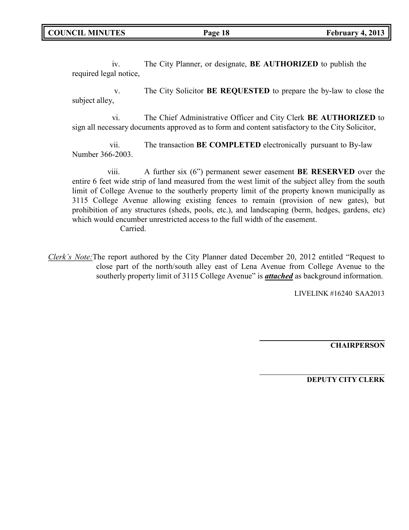iv. The City Planner, or designate, **BE AUTHORIZED** to publish the required legal notice,

v. The City Solicitor **BE REQUESTED** to prepare the by-law to close the subject alley,

vi. The Chief Administrative Officer and City Clerk **BE AUTHORIZED** to sign all necessary documents approved as to form and content satisfactory to the City Solicitor,

vii. The transaction **BE COMPLETED** electronically pursuant to By-law Number 366-2003.

viii. A further six (6") permanent sewer easement **BE RESERVED** over the entire 6 feet wide strip of land measured from the west limit of the subject alley from the south limit of College Avenue to the southerly property limit of the property known municipally as 3115 College Avenue allowing existing fences to remain (provision of new gates), but prohibition of any structures (sheds, pools, etc.), and landscaping (berm, hedges, gardens, etc) which would encumber unrestricted access to the full width of the easement.

Carried.

*Clerk's Note:*The report authored by the City Planner dated December 20, 2012 entitled "Request to close part of the north/south alley east of Lena Avenue from College Avenue to the southerly property limit of 3115 College Avenue" is *attached* as background information.

LIVELINK #16240 SAA2013

**CHAIRPERSON**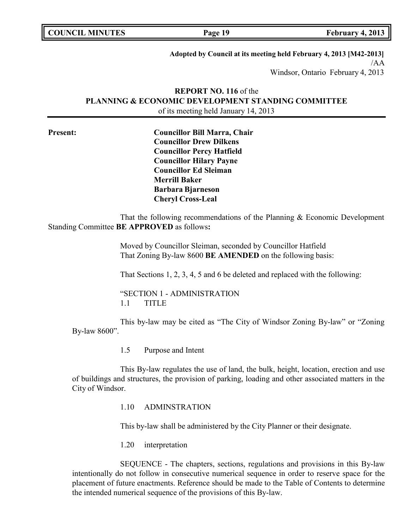| <b>COUNCIL MINUTES</b> |  |  |
|------------------------|--|--|
|------------------------|--|--|

**Page 19 February 4, 2013** 

**Adopted by Council at its meeting held February 4, 2013 [M42-2013]** /AA Windsor, Ontario February 4, 2013

# **REPORT NO. 116** of the **PLANNING & ECONOMIC DEVELOPMENT STANDING COMMITTEE** of its meeting held January 14, 2013

**Present: Councillor Bill Marra, Chair Councillor Drew Dilkens Councillor Percy Hatfield Councillor Hilary Payne Councillor Ed Sleiman Merrill Baker Barbara Bjarneson Cheryl Cross-Leal**

That the following recommendations of the Planning & Economic Development Standing Committee **BE APPROVED** as follows**:**

> Moved by Councillor Sleiman, seconded by Councillor Hatfield That Zoning By-law 8600 **BE AMENDED** on the following basis:

That Sections 1, 2, 3, 4, 5 and 6 be deleted and replaced with the following:

"SECTION 1 - ADMINISTRATION 1.1 TITLE

This by-law may be cited as "The City of Windsor Zoning By-law" or "Zoning By-law 8600".

1.5 Purpose and Intent

This By-law regulates the use of land, the bulk, height, location, erection and use of buildings and structures, the provision of parking, loading and other associated matters in the City of Windsor.

1.10 ADMINSTRATION

This by-law shall be administered by the City Planner or their designate.

1.20 interpretation

SEQUENCE - The chapters, sections, regulations and provisions in this By-law intentionally do not follow in consecutive numerical sequence in order to reserve space for the placement of future enactments. Reference should be made to the Table of Contents to determine the intended numerical sequence of the provisions of this By-law.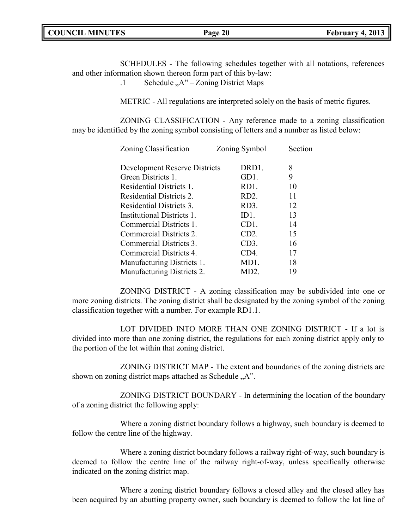|  | <b>COUNCIL MINUTES</b> |
|--|------------------------|
|--|------------------------|

SCHEDULES - The following schedules together with all notations, references and other information shown thereon form part of this by-law:

.1 Schedule  $, A^{\prime\prime}$  – Zoning District Maps

METRIC - All regulations are interpreted solely on the basis of metric figures.

ZONING CLASSIFICATION - Any reference made to a zoning classification may be identified by the zoning symbol consisting of letters and a number as listed below:

| Zoning Classification         | Zoning Symbol     | Section |
|-------------------------------|-------------------|---------|
| Development Reserve Districts | DRD1.             | 8       |
| Green Districts 1.            | GD1.              | 9       |
| Residential Districts 1.      | RD1.              | 10      |
| Residential Districts 2.      | RD <sub>2</sub> . | 11      |
| Residential Districts 3.      | RD3.              | 12      |
| Institutional Districts 1.    | ID <sub>1</sub> . | 13      |
| Commercial Districts 1.       | CD <sub>1</sub> . | 14      |
| Commercial Districts 2.       | CD2.              | 15      |
| Commercial Districts 3.       | CD3.              | 16      |
| Commercial Districts 4.       | CD4.              | 17      |
| Manufacturing Districts 1.    | MD1.              | 18      |
| Manufacturing Districts 2.    | MD2.              | 19      |

ZONING DISTRICT - A zoning classification may be subdivided into one or more zoning districts. The zoning district shall be designated by the zoning symbol of the zoning classification together with a number. For example RD1.1.

LOT DIVIDED INTO MORE THAN ONE ZONING DISTRICT - If a lot is divided into more than one zoning district, the regulations for each zoning district apply only to the portion of the lot within that zoning district.

ZONING DISTRICT MAP - The extent and boundaries of the zoning districts are shown on zoning district maps attached as Schedule  $.A$ ".

ZONING DISTRICT BOUNDARY - In determining the location of the boundary of a zoning district the following apply:

Where a zoning district boundary follows a highway, such boundary is deemed to follow the centre line of the highway.

Where a zoning district boundary follows a railway right-of-way, such boundary is deemed to follow the centre line of the railway right-of-way, unless specifically otherwise indicated on the zoning district map.

Where a zoning district boundary follows a closed alley and the closed alley has been acquired by an abutting property owner, such boundary is deemed to follow the lot line of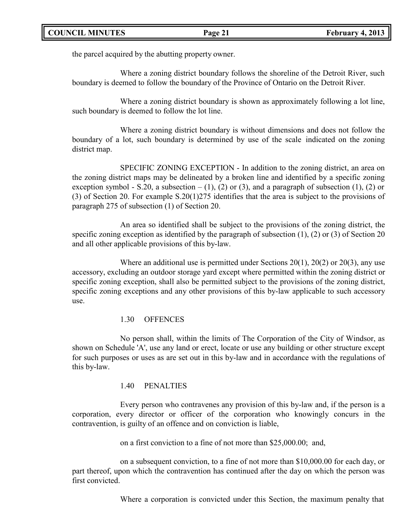the parcel acquired by the abutting property owner.

Where a zoning district boundary follows the shoreline of the Detroit River, such boundary is deemed to follow the boundary of the Province of Ontario on the Detroit River.

Where a zoning district boundary is shown as approximately following a lot line, such boundary is deemed to follow the lot line.

Where a zoning district boundary is without dimensions and does not follow the boundary of a lot, such boundary is determined by use of the scale indicated on the zoning district map.

SPECIFIC ZONING EXCEPTION - In addition to the zoning district, an area on the zoning district maps may be delineated by a broken line and identified by a specific zoning exception symbol - S.20, a subsection  $- (1)$ , (2) or (3), and a paragraph of subsection (1), (2) or (3) of Section 20. For example S.20(1)275 identifies that the area is subject to the provisions of paragraph 275 of subsection (1) of Section 20.

An area so identified shall be subject to the provisions of the zoning district, the specific zoning exception as identified by the paragraph of subsection (1), (2) or (3) of Section 20 and all other applicable provisions of this by-law.

Where an additional use is permitted under Sections  $20(1)$ ,  $20(2)$  or  $20(3)$ , any use accessory, excluding an outdoor storage yard except where permitted within the zoning district or specific zoning exception, shall also be permitted subject to the provisions of the zoning district, specific zoning exceptions and any other provisions of this by-law applicable to such accessory use.

## 1.30 OFFENCES

No person shall, within the limits of The Corporation of the City of Windsor, as shown on Schedule 'A', use any land or erect, locate or use any building or other structure except for such purposes or uses as are set out in this by-law and in accordance with the regulations of this by-law.

## 1.40 PENALTIES

Every person who contravenes any provision of this by-law and, if the person is a corporation, every director or officer of the corporation who knowingly concurs in the contravention, is guilty of an offence and on conviction is liable,

on a first conviction to a fine of not more than \$25,000.00; and,

on a subsequent conviction, to a fine of not more than \$10,000.00 for each day, or part thereof, upon which the contravention has continued after the day on which the person was first convicted.

Where a corporation is convicted under this Section, the maximum penalty that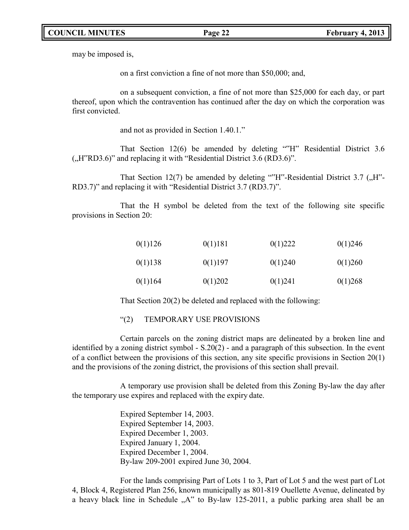may be imposed is,

on a first conviction a fine of not more than \$50,000; and,

on a subsequent conviction, a fine of not more than \$25,000 for each day, or part thereof, upon which the contravention has continued after the day on which the corporation was first convicted.

and not as provided in Section 1.40.1."

That Section 12(6) be amended by deleting ""H" Residential District 3.6  $($ "H"RD3.6)" and replacing it with "Residential District 3.6 (RD3.6)".

That Section 12(7) be amended by deleting ""H"-Residential District 3.7  $($ "H"-RD3.7)" and replacing it with "Residential District 3.7 (RD3.7)".

That the H symbol be deleted from the text of the following site specific provisions in Section 20:

| 0(1)126 | 0(1)181 | 0(1)222 | 0(1)246 |
|---------|---------|---------|---------|
| 0(1)138 | 0(1)197 | 0(1)240 | 0(1)260 |
| 0(1)164 | 0(1)202 | 0(1)241 | 0(1)268 |

That Section 20(2) be deleted and replaced with the following:

### "(2) TEMPORARY USE PROVISIONS

Certain parcels on the zoning district maps are delineated by a broken line and identified by a zoning district symbol - S.20(2) - and a paragraph of this subsection. In the event of a conflict between the provisions of this section, any site specific provisions in Section 20(1) and the provisions of the zoning district, the provisions of this section shall prevail.

A temporary use provision shall be deleted from this Zoning By-law the day after the temporary use expires and replaced with the expiry date.

> Expired September 14, 2003. Expired September 14, 2003. Expired December 1, 2003. Expired January 1, 2004. Expired December 1, 2004. By-law 209-2001 expired June 30, 2004.

For the lands comprising Part of Lots 1 to 3, Part of Lot 5 and the west part of Lot 4, Block 4, Registered Plan 256, known municipally as 801-819 Ouellette Avenue, delineated by a heavy black line in Schedule  $A^{\prime\prime}$  to By-law 125-2011, a public parking area shall be an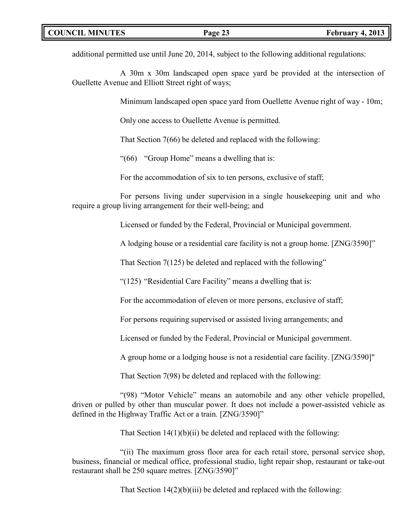additional permitted use until June 20, 2014, subject to the following additional regulations:

A 30m x 30m landscaped open space yard be provided at the intersection of Ouellette Avenue and Elliott Street right of ways;

Minimum landscaped open space yard from Ouellette Avenue right of way - 10m;

Only one access to Ouellette Avenue is permitted.

That Section 7(66) be deleted and replaced with the following:

"(66) "Group Home" means a dwelling that is:

For the accommodation of six to ten persons, exclusive of staff;

For persons living under supervision in a single housekeeping unit and who require a group living arrangement for their well-being; and

Licensed or funded by the Federal, Provincial or Municipal government.

A lodging house or a residential care facility is not a group home. [ZNG/3590]"

That Section 7(125) be deleted and replaced with the following"

"(125) "Residential Care Facility" means a dwelling that is:

For the accommodation of eleven or more persons, exclusive of staff;

For persons requiring supervised or assisted living arrangements; and

Licensed or funded by the Federal, Provincial or Municipal government.

A group home or a lodging house is not a residential care facility. [ZNG/3590]"

That Section 7(98) be deleted and replaced with the following:

"(98) "Motor Vehicle" means an automobile and any other vehicle propelled, driven or pulled by other than muscular power. It does not include a power-assisted vehicle as defined in the Highway Traffic Act or a train. [ZNG/3590]"

That Section  $14(1)(b)(ii)$  be deleted and replaced with the following:

"(ii) The maximum gross floor area for each retail store, personal service shop, business, financial or medical office, professional studio, light repair shop, restaurant or take-out restaurant shall be 250 square metres. [ZNG/3590]"

That Section 14(2)(b)(iii) be deleted and replaced with the following: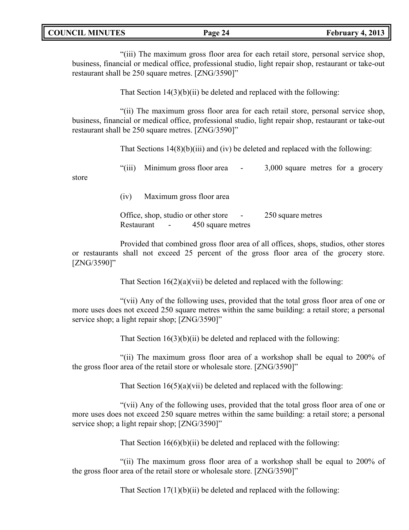| <b>COUNCIL MINUTES</b> |  |
|------------------------|--|
|------------------------|--|

"(iii) The maximum gross floor area for each retail store, personal service shop, business, financial or medical office, professional studio, light repair shop, restaurant or take-out restaurant shall be 250 square metres. [ZNG/3590]"

That Section  $14(3)(b)(ii)$  be deleted and replaced with the following:

"(ii) The maximum gross floor area for each retail store, personal service shop, business, financial or medical office, professional studio, light repair shop, restaurant or take-out restaurant shall be 250 square metres. [ZNG/3590]"

That Sections 14(8)(b)(iii) and (iv) be deleted and replaced with the following:

"(iii) Minimum gross floor area - 3,000 square metres for a grocery

store

(iv) Maximum gross floor area

Office, shop, studio or other store - 250 square metres Restaurant - 450 square metres

Provided that combined gross floor area of all offices, shops, studios, other stores or restaurants shall not exceed 25 percent of the gross floor area of the grocery store. [ZNG/3590]"

That Section  $16(2)(a)(vii)$  be deleted and replaced with the following:

"(vii) Any of the following uses, provided that the total gross floor area of one or more uses does not exceed 250 square metres within the same building: a retail store; a personal service shop; a light repair shop; [ZNG/3590]"

That Section  $16(3)(b)(ii)$  be deleted and replaced with the following:

"(ii) The maximum gross floor area of a workshop shall be equal to 200% of the gross floor area of the retail store or wholesale store. [ZNG/3590]"

That Section  $16(5)(a)(vii)$  be deleted and replaced with the following:

"(vii) Any of the following uses, provided that the total gross floor area of one or more uses does not exceed 250 square metres within the same building: a retail store; a personal service shop; a light repair shop; [ZNG/3590]"

That Section  $16(6)(b)(ii)$  be deleted and replaced with the following:

"(ii) The maximum gross floor area of a workshop shall be equal to 200% of the gross floor area of the retail store or wholesale store. [ZNG/3590]"

That Section  $17(1)(b)(ii)$  be deleted and replaced with the following: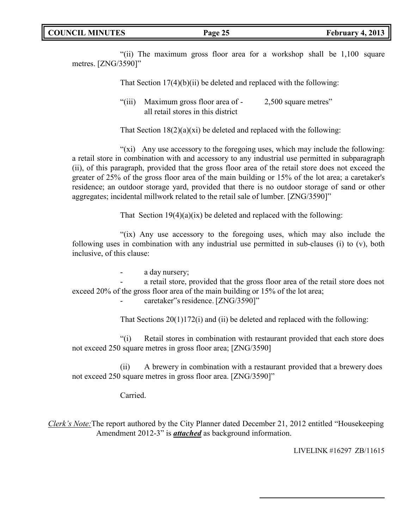"(ii) The maximum gross floor area for a workshop shall be 1,100 square metres. [ZNG/3590]"

That Section 17(4)(b)(ii) be deleted and replaced with the following:

"(iii) Maximum gross floor area of - 2,500 square metres" all retail stores in this district

That Section  $18(2)(a)(xi)$  be deleted and replaced with the following:

" $(xi)$  Any use accessory to the foregoing uses, which may include the following: a retail store in combination with and accessory to any industrial use permitted in subparagraph (ii), of this paragraph, provided that the gross floor area of the retail store does not exceed the greater of 25% of the gross floor area of the main building or 15% of the lot area; a caretaker's residence; an outdoor storage yard, provided that there is no outdoor storage of sand or other aggregates; incidental millwork related to the retail sale of lumber. [ZNG/3590]"

That Section  $19(4)(a)(ix)$  be deleted and replaced with the following:

"(ix) Any use accessory to the foregoing uses, which may also include the following uses in combination with any industrial use permitted in sub-clauses (i) to (v), both inclusive, of this clause:

a day nursery;

a retail store, provided that the gross floor area of the retail store does not exceed 20% of the gross floor area of the main building or 15% of the lot area;

caretaker"s residence. [ZNG/3590]"

That Sections 20(1)172(i) and (ii) be deleted and replaced with the following:

"(i) Retail stores in combination with restaurant provided that each store does not exceed 250 square metres in gross floor area; [ZNG/3590]

(ii) A brewery in combination with a restaurant provided that a brewery does not exceed 250 square metres in gross floor area. [ZNG/3590]"

Carried.

*Clerk's Note:*The report authored by the City Planner dated December 21, 2012 entitled "Housekeeping Amendment 2012-3" is *attached* as background information.

LIVELINK #16297 ZB/11615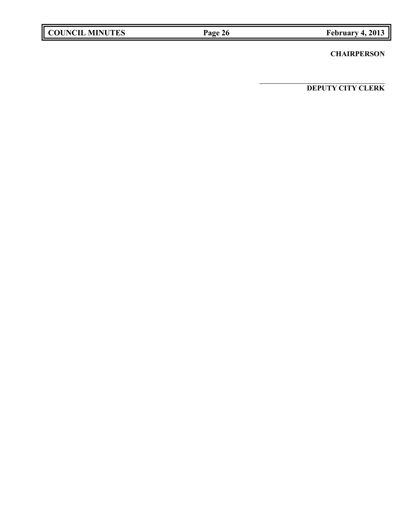|  | <b>COUNCIL MINUTES</b> |
|--|------------------------|
|--|------------------------|

## **CHAIRPERSON**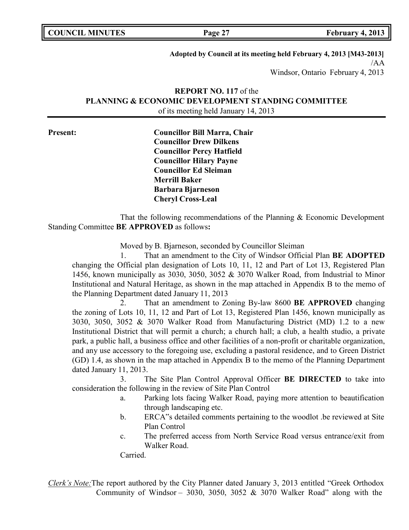| <b>COUNCIL MINUTES</b> |  |
|------------------------|--|
|------------------------|--|

**Adopted by Council at its meeting held February 4, 2013 [M43-2013]** /AA Windsor, Ontario February 4, 2013

# **REPORT NO. 117** of the **PLANNING & ECONOMIC DEVELOPMENT STANDING COMMITTEE** of its meeting held January 14, 2013

**Present: Councillor Bill Marra, Chair Councillor Drew Dilkens Councillor Percy Hatfield Councillor Hilary Payne Councillor Ed Sleiman Merrill Baker Barbara Bjarneson Cheryl Cross-Leal**

That the following recommendations of the Planning & Economic Development Standing Committee **BE APPROVED** as follows**:**

Moved by B. Bjarneson, seconded by Councillor Sleiman

1. That an amendment to the City of Windsor Official Plan **BE ADOPTED** changing the Official plan designation of Lots 10, 11, 12 and Part of Lot 13, Registered Plan 1456, known municipally as 3030, 3050, 3052 & 3070 Walker Road, from Industrial to Minor Institutional and Natural Heritage, as shown in the map attached in Appendix B to the memo of the Planning Department dated January 11, 2013

2. That an amendment to Zoning By-law 8600 **BE APPROVED** changing the zoning of Lots 10, 11, 12 and Part of Lot 13, Registered Plan 1456, known municipally as 3030, 3050, 3052 & 3070 Walker Road from Manufacturing District (MD) 1.2 to a new Institutional District that will permit a church; a church hall; a club, a health studio, a private park, a public hall, a business office and other facilities of a non-profit or charitable organization, and any use accessory to the foregoing use, excluding a pastoral residence, and to Green District (GD) 1.4, as shown in the map attached in Appendix B to the memo of the Planning Department dated January 11, 2013.

3. The Site Plan Control Approval Officer **BE DIRECTED** to take into consideration the following in the review of Site Plan Control

- a. Parking lots facing Walker Road, paying more attention to beautification through landscaping etc.
- b. ERCA"s detailed comments pertaining to the woodlot .be reviewed at Site Plan Control
- c. The preferred access from North Service Road versus entrance/exit from Walker Road.

Carried.

*Clerk's Note:*The report authored by the City Planner dated January 3, 2013 entitled "Greek Orthodox Community of Windsor - 3030, 3050, 3052 & 3070 Walker Road" along with the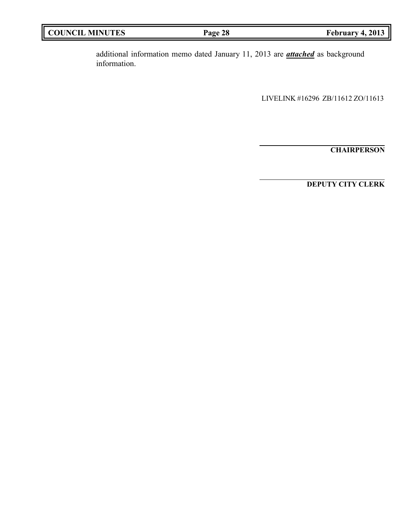| <b>COUNCIL MINUTES</b><br>February 4, 2013<br>Page 28 |
|-------------------------------------------------------|
|-------------------------------------------------------|

additional information memo dated January 11, 2013 are *attached* as background information.

LIVELINK #16296 ZB/11612 ZO/11613

**CHAIRPERSON**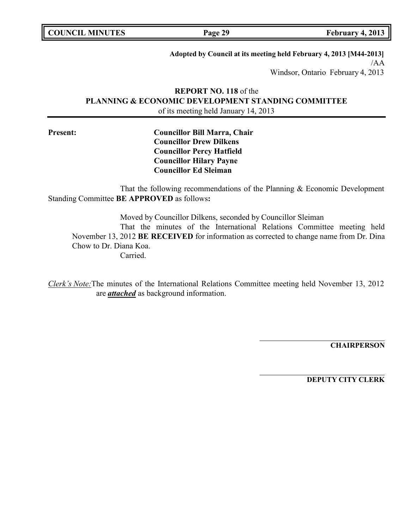|  | <b>COUNCIL MINUTES</b> |
|--|------------------------|
|--|------------------------|

**COUNCIL EXECUTE: Page 29 February 4, 2013** 

**Adopted by Council at its meeting held February 4, 2013 [M44-2013]** /AA Windsor, Ontario February 4, 2013

# **REPORT NO. 118** of the **PLANNING & ECONOMIC DEVELOPMENT STANDING COMMITTEE** of its meeting held January 14, 2013

**Present: Councillor Bill Marra, Chair Councillor Drew Dilkens Councillor Percy Hatfield Councillor Hilary Payne Councillor Ed Sleiman**

That the following recommendations of the Planning & Economic Development Standing Committee **BE APPROVED** as follows**:**

Moved by Councillor Dilkens, seconded by Councillor Sleiman That the minutes of the International Relations Committee meeting held November 13, 2012 **BE RECEIVED** for information as corrected to change name from Dr. Dina Chow to Dr. Diana Koa. Carried.

*Clerk's Note:*The minutes of the International Relations Committee meeting held November 13, 2012 are *attached* as background information.

**CHAIRPERSON**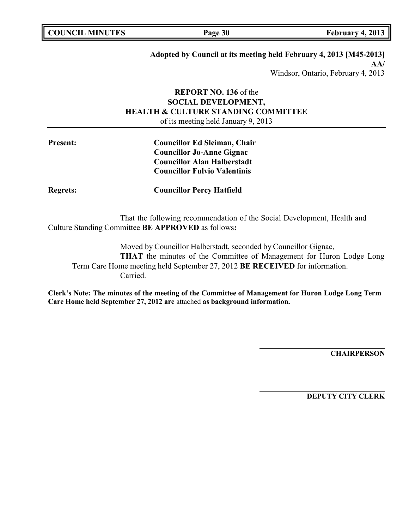| <b>COUNCIL MINUTES</b> |  |
|------------------------|--|
|------------------------|--|

**COUNCIL EXECUTE: Page 30 February 4, 2013** 

# **Adopted by Council at its meeting held February 4, 2013 [M45-2013] AA/**

Windsor, Ontario, February 4, 2013

# **REPORT NO. 136** of the **SOCIAL DEVELOPMENT, HEALTH & CULTURE STANDING COMMITTEE** of its meeting held January 9, 2013

**Present: Councillor Ed Sleiman, Chair Councillor Jo-Anne Gignac Councillor Alan Halberstadt Councillor Fulvio Valentinis**

**Regrets: Councillor Percy Hatfield**

That the following recommendation of the Social Development, Health and Culture Standing Committee **BE APPROVED** as follows**:**

Moved by Councillor Halberstadt, seconded by Councillor Gignac, **THAT** the minutes of the Committee of Management for Huron Lodge Long Term Care Home meeting held September 27, 2012 **BE RECEIVED** for information. Carried.

**Clerk's Note: The minutes of the meeting of the Committee of Management for Huron Lodge Long Term Care Home held September 27, 2012 are** attached **as background information.**

**CHAIRPERSON**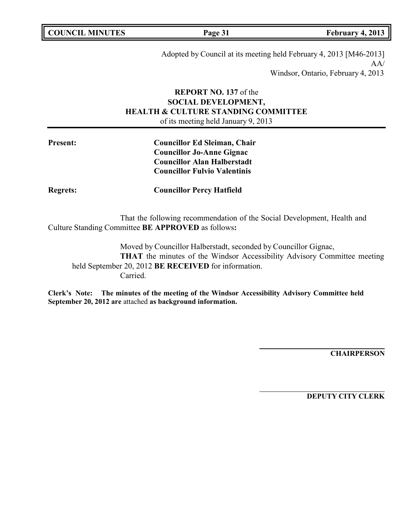| <b>COUNCIL MINUTES</b> |  |
|------------------------|--|
|------------------------|--|

**Page 31 February 4, 2013** 

Adopted by Council at its meeting held February 4, 2013 [M46-2013] AA/ Windsor, Ontario, February 4, 2013

# **REPORT NO. 137** of the **SOCIAL DEVELOPMENT, HEALTH & CULTURE STANDING COMMITTEE** of its meeting held January 9, 2013

**Present: Councillor Ed Sleiman, Chair Councillor Jo-Anne Gignac Councillor Alan Halberstadt Councillor Fulvio Valentinis**

**Regrets: Councillor Percy Hatfield**

That the following recommendation of the Social Development, Health and Culture Standing Committee **BE APPROVED** as follows**:**

Moved by Councillor Halberstadt, seconded by Councillor Gignac, **THAT** the minutes of the Windsor Accessibility Advisory Committee meeting held September 20, 2012 **BE RECEIVED** for information. Carried.

**Clerk's Note: The minutes of the meeting of the Windsor Accessibility Advisory Committee held September 20, 2012 are** attached **as background information.**

**CHAIRPERSON**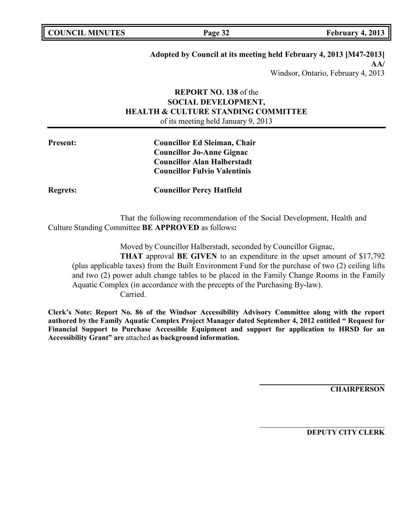| <b>COUNCIL MINUTES</b> |  |
|------------------------|--|
|------------------------|--|

**Page 32 February 4, 2013** 

# **Adopted by Council at its meeting held February 4, 2013 [M47-2013] AA/**

Windsor, Ontario, February 4, 2013

## **REPORT NO. 138** of the **SOCIAL DEVELOPMENT, HEALTH & CULTURE STANDING COMMITTEE** of its meeting held January 9, 2013

**Present: Councillor Ed Sleiman, Chair Councillor Jo-Anne Gignac Councillor Alan Halberstadt Councillor Fulvio Valentinis**

**Regrets: Councillor Percy Hatfield**

That the following recommendation of the Social Development, Health and Culture Standing Committee **BE APPROVED** as follows**:**

Moved by Councillor Halberstadt, seconded by Councillor Gignac,

**THAT** approval **BE GIVEN** to an expenditure in the upset amount of \$17,792 (plus applicable taxes) from the Built Environment Fund for the purchase of two (2) ceiling lifts and two (2) power adult change tables to be placed in the Family Change Rooms in the Family Aquatic Complex (in accordance with the precepts of the Purchasing By-law). Carried.

**Clerk's Note: Report No. 86 of the Windsor Accessibility Advisory Committee along with the report authored by the Family Aquatic Complex Project Manager dated September 4, 2012 entitled " Request for Financial Support to Purchase Accessible Equipment and support for application to HRSD for an Accessibility Grant" are** attached **as background information.**

**CHAIRPERSON**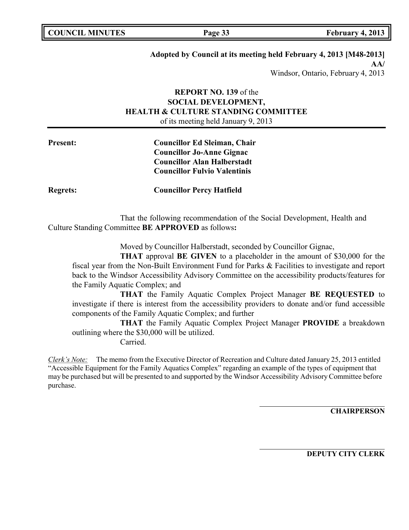**Page 33 February 4, 2013** 

### **Adopted by Council at its meeting held February 4, 2013 [M48-2013] AA/**

Windsor, Ontario, February 4, 2013

## **REPORT NO. 139** of the **SOCIAL DEVELOPMENT, HEALTH & CULTURE STANDING COMMITTEE** of its meeting held January 9, 2013

**Present: Councillor Ed Sleiman, Chair Councillor Jo-Anne Gignac Councillor Alan Halberstadt Councillor Fulvio Valentinis**

**Regrets: Councillor Percy Hatfield**

That the following recommendation of the Social Development, Health and Culture Standing Committee **BE APPROVED** as follows**:**

Moved by Councillor Halberstadt, seconded by Councillor Gignac,

**THAT** approval **BE GIVEN** to a placeholder in the amount of \$30,000 for the fiscal year from the Non-Built Environment Fund for Parks & Facilities to investigate and report back to the Windsor Accessibility Advisory Committee on the accessibility products/features for the Family Aquatic Complex; and

**THAT** the Family Aquatic Complex Project Manager **BE REQUESTED** to investigate if there is interest from the accessibility providers to donate and/or fund accessible components of the Family Aquatic Complex; and further

**THAT** the Family Aquatic Complex Project Manager **PROVIDE** a breakdown outlining where the \$30,000 will be utilized.

Carried.

*Clerk's Note:* The memo from the Executive Director of Recreation and Culture dated January 25, 2013 entitled "Accessible Equipment for the Family Aquatics Complex" regarding an example of the types of equipment that may be purchased but will be presented to and supported by the Windsor Accessibility Advisory Committee before purchase.

**CHAIRPERSON**